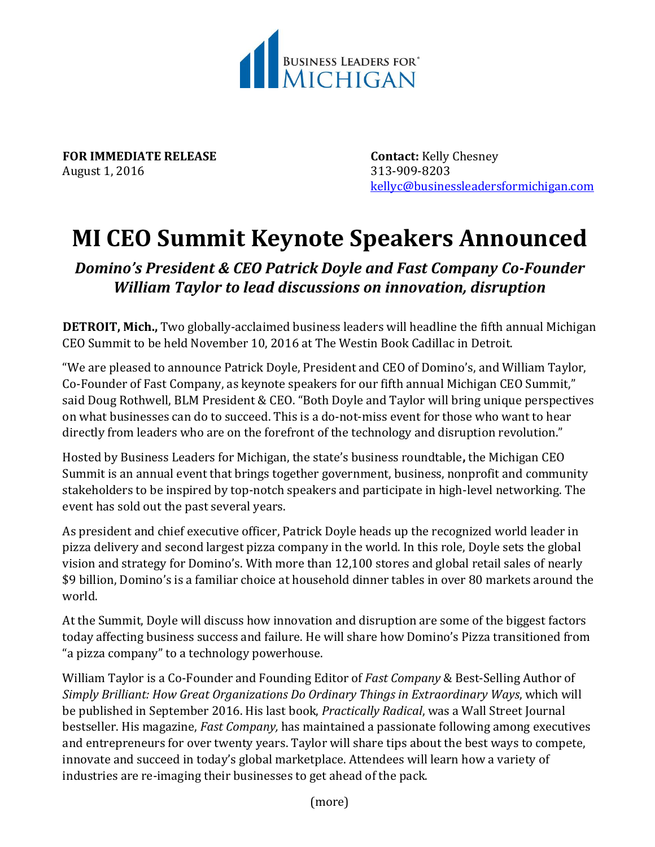

**FOR IMMEDIATE RELEASE Contact:** Kelly Chesney August 1, 2016 313-909-8203

[kellyc@businessleadersformichigan.com](mailto:kellyc@businessleadersformichigan.com)

## **MI CEO Summit Keynote Speakers Announced**

*Domino's President & CEO Patrick Doyle and Fast Company Co-Founder William Taylor to lead discussions on innovation, disruption*

**DETROIT, Mich.,** Two globally-acclaimed business leaders will headline the fifth annual Michigan CEO Summit to be held November 10, 2016 at The Westin Book Cadillac in Detroit.

"We are pleased to announce Patrick Doyle, President and CEO of Domino's, and William Taylor, Co-Founder of Fast Company, as keynote speakers for our fifth annual Michigan CEO Summit," said Doug Rothwell, BLM President & CEO. "Both Doyle and Taylor will bring unique perspectives on what businesses can do to succeed. This is a do-not-miss event for those who want to hear directly from leaders who are on the forefront of the technology and disruption revolution."

Hosted by Business Leaders for Michigan, the state's business roundtable**,** the Michigan CEO Summit is an annual event that brings together government, business, nonprofit and community stakeholders to be inspired by top-notch speakers and participate in high-level networking. The event has sold out the past several years.

As president and chief executive officer, Patrick Doyle heads up the recognized world leader in pizza delivery and second largest pizza company in the world. In this role, Doyle sets the global vision and strategy for Domino's. With more than 12,100 stores and global retail sales of nearly \$9 billion, Domino's is a familiar choice at household dinner tables in over 80 markets around the world.

At the Summit, Doyle will discuss how innovation and disruption are some of the biggest factors today affecting business success and failure. He will share how Domino's Pizza transitioned from "a pizza company" to a technology powerhouse.

William Taylor is a Co-Founder and Founding Editor of *Fast Company* & Best-Selling Author of *Simply Brilliant: How Great Organizations Do Ordinary Things in Extraordinary Ways*, which will be published in September 2016. His last book, *Practically Radical*, was a Wall Street Journal bestseller. His magazine, *Fast Company,* has maintained a passionate following among executives and entrepreneurs for over twenty years. Taylor will share tips about the best ways to compete, innovate and succeed in today's global marketplace. Attendees will learn how a variety of industries are re-imaging their businesses to get ahead of the pack.